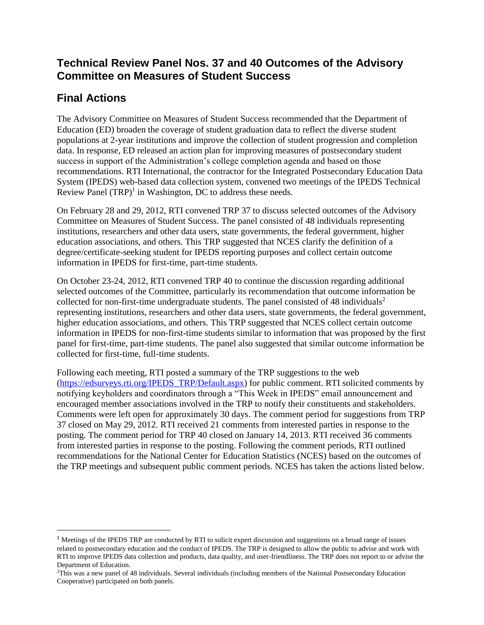## **Technical Review Panel Nos. 37 and 40 Outcomes of the Advisory Committee on Measures of Student Success**

# **Final Actions**

 $\overline{a}$ 

The Advisory Committee on Measures of Student Success recommended that the Department of Education (ED) broaden the coverage of student graduation data to reflect the diverse student populations at 2-year institutions and improve the collection of student progression and completion data. In response, ED released an action plan for improving measures of postsecondary student success in support of the Administration's college completion agenda and based on those recommendations. RTI International, the contractor for the Integrated Postsecondary Education Data System (IPEDS) web-based data collection system, convened two meetings of the IPEDS Technical Review Panel  $(TRP)^1$  in Washington, DC to address these needs.

On February 28 and 29, 2012, RTI convened TRP 37 to discuss selected outcomes of the Advisory Committee on Measures of Student Success. The panel consisted of 48 individuals representing institutions, researchers and other data users, state governments, the federal government, higher education associations, and others. This TRP suggested that NCES clarify the definition of a degree/certificate-seeking student for IPEDS reporting purposes and collect certain outcome information in IPEDS for first-time, part-time students.

On October 23-24, 2012, RTI convened TRP 40 to continue the discussion regarding additional selected outcomes of the Committee, particularly its recommendation that outcome information be collected for non-first-time undergraduate students. The panel consisted of 48 individuals<sup>2</sup> representing institutions, researchers and other data users, state governments, the federal government, higher education associations, and others. This TRP suggested that NCES collect certain outcome information in IPEDS for non-first-time students similar to information that was proposed by the first panel for first-time, part-time students. The panel also suggested that similar outcome information be collected for first-time, full-time students.

Following each meeting, RTI posted a summary of the TRP suggestions to the web [\(https://edsurveys.rti.org/IPEDS\\_TRP/Default.aspx\)](https://edsurveys.rti.org/IPEDS_TRP/Default.aspx) for public comment. RTI solicited comments by notifying keyholders and coordinators through a "This Week in IPEDS" email announcement and encouraged member associations involved in the TRP to notify their constituents and stakeholders. Comments were left open for approximately 30 days. The comment period for suggestions from TRP 37 closed on May 29, 2012. RTI received 21 comments from interested parties in response to the posting. The comment period for TRP 40 closed on January 14, 2013. RTI received 36 comments from interested parties in response to the posting. Following the comment periods, RTI outlined recommendations for the National Center for Education Statistics (NCES) based on the outcomes of the TRP meetings and subsequent public comment periods. NCES has taken the actions listed below.

<sup>&</sup>lt;sup>1</sup> Meetings of the IPEDS TRP are conducted by RTI to solicit expert discussion and suggestions on a broad range of issues related to postsecondary education and the conduct of IPEDS. The TRP is designed to allow the public to advise and work with RTI to improve IPEDS data collection and products, data quality, and user-friendliness. The TRP does not report to or advise the Department of Education.

 $2$ This was a new panel of 48 individuals. Several individuals (including members of the National Postsecondary Education Cooperative) participated on both panels.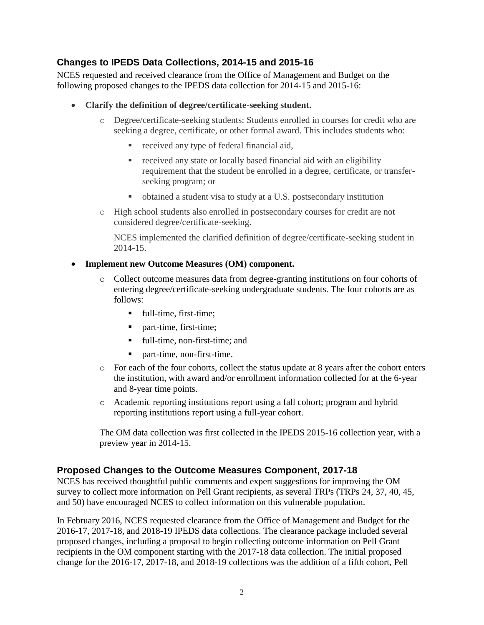## **Changes to IPEDS Data Collections, 2014-15 and 2015-16**

NCES requested and received clearance from the Office of Management and Budget on the following proposed changes to the IPEDS data collection for 2014-15 and 2015-16:

- **Clarify the definition of degree/certificate-seeking student.**
	- o Degree/certificate-seeking students: Students enrolled in courses for credit who are seeking a degree, certificate, or other formal award. This includes students who:
		- received any type of federal financial aid,
		- received any state or locally based financial aid with an eligibility requirement that the student be enrolled in a degree, certificate, or transferseeking program; or
		- obtained a student visa to study at a U.S. postsecondary institution
	- o High school students also enrolled in postsecondary courses for credit are not considered degree/certificate-seeking.

NCES implemented the clarified definition of degree/certificate-seeking student in 2014-15.

#### • **Implement new Outcome Measures (OM) component.**

- o Collect outcome measures data from degree-granting institutions on four cohorts of entering degree/certificate-seeking undergraduate students. The four cohorts are as follows:
	- full-time, first-time;
	- part-time, first-time;
	- full-time, non-first-time; and
	- part-time, non-first-time.
- o For each of the four cohorts, collect the status update at 8 years after the cohort enters the institution, with award and/or enrollment information collected for at the 6-year and 8-year time points.
- o Academic reporting institutions report using a fall cohort; program and hybrid reporting institutions report using a full-year cohort.

The OM data collection was first collected in the IPEDS 2015-16 collection year, with a preview year in 2014-15.

### **Proposed Changes to the Outcome Measures Component, 2017-18**

NCES has received thoughtful public comments and expert suggestions for improving the OM survey to collect more information on Pell Grant recipients, as several TRPs (TRPs 24, 37, 40, 45, and 50) have encouraged NCES to collect information on this vulnerable population.

In February 2016, NCES requested clearance from the Office of Management and Budget for the 2016-17, 2017-18, and 2018-19 IPEDS data collections. The clearance package included several proposed changes, including a proposal to begin collecting outcome information on Pell Grant recipients in the OM component starting with the 2017-18 data collection. The initial proposed change for the 2016-17, 2017-18, and 2018-19 collections was the addition of a fifth cohort, Pell